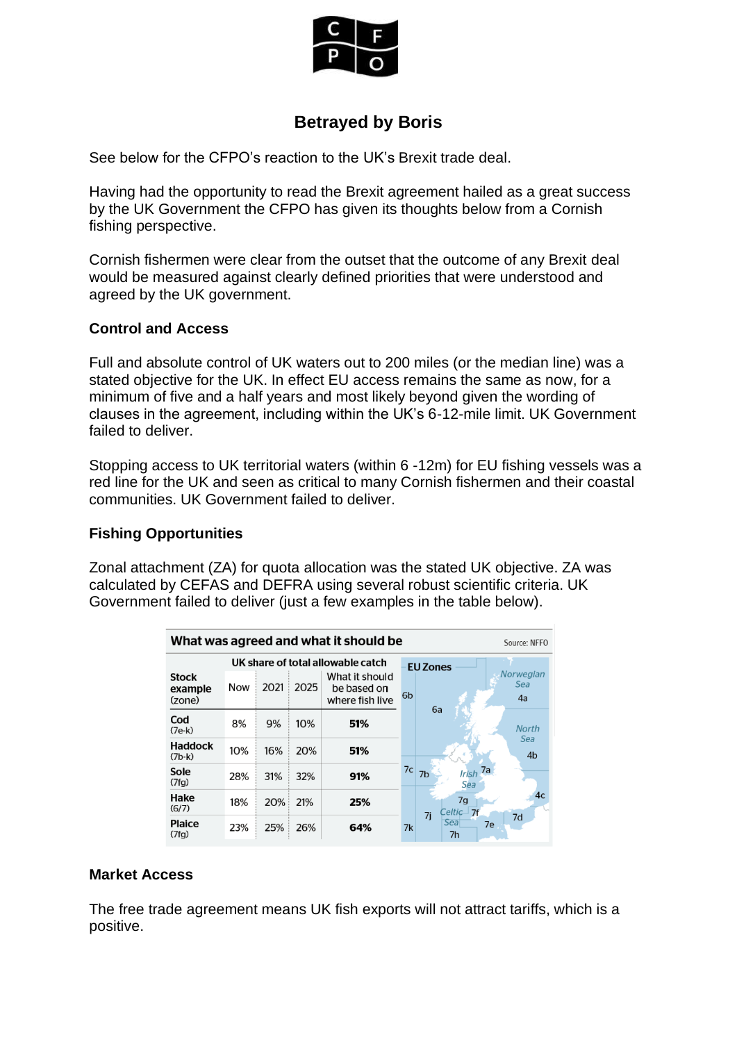

## **Betrayed by Boris**

See below for the CFPO's reaction to the UK's Brexit trade deal.

Having had the opportunity to read the Brexit agreement hailed as a great success by the UK Government the CFPO has given its thoughts below from a Cornish fishing perspective.

Cornish fishermen were clear from the outset that the outcome of any Brexit deal would be measured against clearly defined priorities that were understood and agreed by the UK government.

## **Control and Access**

Full and absolute control of UK waters out to 200 miles (or the median line) was a stated objective for the UK. In effect EU access remains the same as now, for a minimum of five and a half years and most likely beyond given the wording of clauses in the agreement, including within the UK's 6-12-mile limit. UK Government failed to deliver.

Stopping access to UK territorial waters (within 6 -12m) for EU fishing vessels was a red line for the UK and seen as critical to many Cornish fishermen and their coastal communities. UK Government failed to deliver.

## **Fishing Opportunities**

Zonal attachment (ZA) for quota allocation was the stated UK objective. ZA was calculated by CEFAS and DEFRA using several robust scientific criteria. UK Government failed to deliver (just a few examples in the table below).

| What was agreed and what it should be<br>Source: NFFO |                                   |      |      |                                                  |                |                                                  |
|-------------------------------------------------------|-----------------------------------|------|------|--------------------------------------------------|----------------|--------------------------------------------------|
|                                                       | UK share of total allowable catch |      |      |                                                  |                | <b>EU Zones</b>                                  |
| <b>Stock</b><br>example<br>(zone)                     | Now                               | 2021 | 2025 | What it should<br>be based on<br>where fish live | 6 <sub>b</sub> | <b>Norwegian</b><br>Sea<br>4a<br>6a              |
| Cod<br>$(7e-k)$                                       | 8%                                | 9%   | 10%  | 51%                                              |                | <b>North</b>                                     |
| <b>Haddock</b><br>$(7b-k)$                            | 10%                               | 16%  | 20%  | 51%                                              |                | Sea<br>4 <sub>b</sub>                            |
| Sole<br>(7fg)                                         | 28%                               | 31%  | 32%  | 91%                                              | 7c             | Irish 7a<br>7b<br>Sea                            |
| Hake<br>(6/7)                                         | 18%                               | 20%  | 21%  | 25%                                              |                | 4 <sub>c</sub><br>7g<br>Celtic $\sqcup$ 7f<br>7i |
| <b>Plaice</b><br>(7fg)                                | 23%                               | 25%  | 26%  | 64%                                              | 7k             | 7d<br>Sea<br>7e<br>7 <sub>h</sub>                |

## **Market Access**

The free trade agreement means UK fish exports will not attract tariffs, which is a positive.